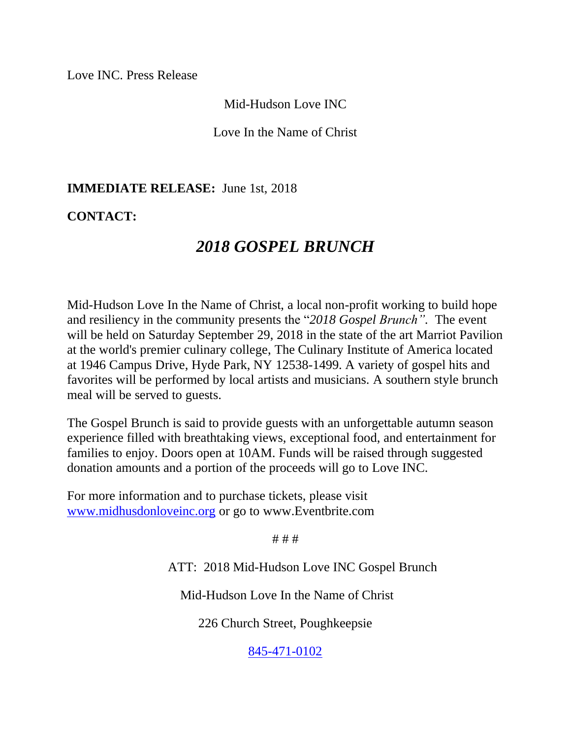Love INC. Press Release

Mid-Hudson Love INC

Love In the Name of Christ

## **IMMEDIATE RELEASE:** June 1st, 2018

## **CONTACT:**

## *2018 GOSPEL BRUNCH*

Mid-Hudson Love In the Name of Christ, a local non-profit working to build hope and resiliency in the community presents the "*2018 Gospel Brunch".* The event will be held on Saturday September 29, 2018 in the state of the art Marriot Pavilion at the world's premier culinary college, The Culinary Institute of America located at 1946 Campus Drive, Hyde Park, NY 12538-1499. A variety of gospel hits and favorites will be performed by local artists and musicians. A southern style brunch meal will be served to guests.

The Gospel Brunch is said to provide guests with an unforgettable autumn season experience filled with breathtaking views, exceptional food, and entertainment for families to enjoy. Doors open at 10AM. Funds will be raised through suggested donation amounts and a portion of the proceeds will go to Love INC.

For more information and to purchase tickets, please visit [www.midhusdonloveinc.org](http://www.midhusdonloveinc.org/) or go to www.Eventbrite.com

# # #

ATT: 2018 Mid-Hudson Love INC Gospel Brunch

Mid-Hudson Love In the Name of Christ

226 Church Street, Poughkeepsie

[845-471-0102](tel:(845)%20471-0102)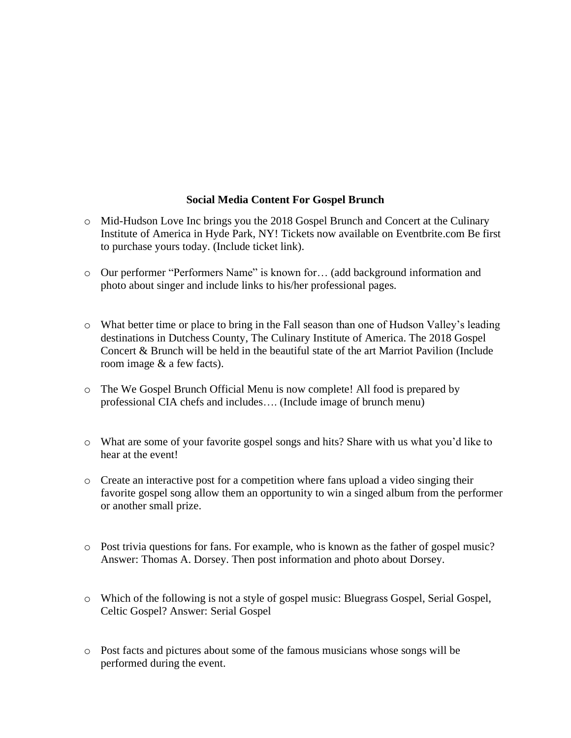## **Social Media Content For Gospel Brunch**

- o Mid-Hudson Love Inc brings you the 2018 Gospel Brunch and Concert at the Culinary Institute of America in Hyde Park, NY! Tickets now available on Eventbrite.com Be first to purchase yours today. (Include ticket link).
- o Our performer "Performers Name" is known for… (add background information and photo about singer and include links to his/her professional pages.
- o What better time or place to bring in the Fall season than one of Hudson Valley's leading destinations in Dutchess County, The Culinary Institute of America. The 2018 Gospel Concert & Brunch will be held in the beautiful state of the art Marriot Pavilion (Include room image & a few facts).
- o The We Gospel Brunch Official Menu is now complete! All food is prepared by professional CIA chefs and includes…. (Include image of brunch menu)
- o What are some of your favorite gospel songs and hits? Share with us what you'd like to hear at the event!
- $\circ$  Create an interactive post for a competition where fans upload a video singing their favorite gospel song allow them an opportunity to win a singed album from the performer or another small prize.
- o Post trivia questions for fans. For example, who is known as the father of gospel music? Answer: Thomas A. Dorsey. Then post information and photo about Dorsey.
- o Which of the following is not a style of gospel music: Bluegrass Gospel, Serial Gospel, Celtic Gospel? Answer: Serial Gospel
- o Post facts and pictures about some of the famous musicians whose songs will be performed during the event.